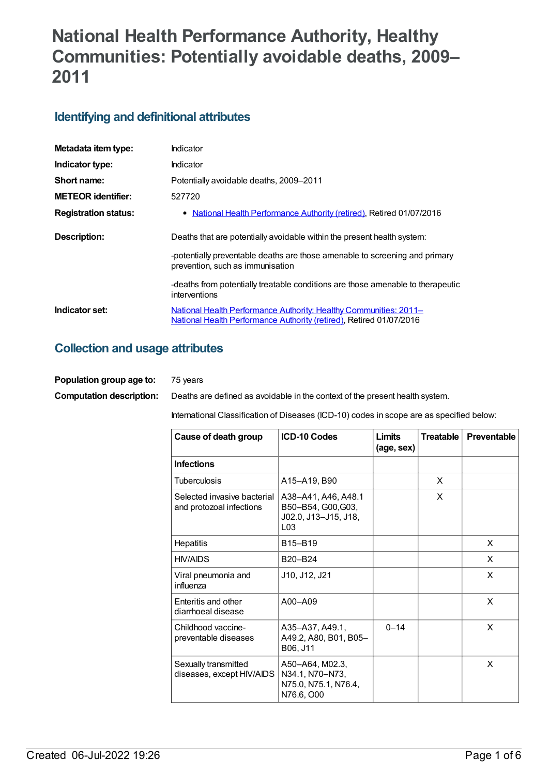# **National Health Performance Authority, Healthy Communities: Potentially avoidable deaths, 2009– 2011**

### **Identifying and definitional attributes**

| Metadata item type:         | Indicator                                                                                                                                       |
|-----------------------------|-------------------------------------------------------------------------------------------------------------------------------------------------|
| Indicator type:             | Indicator                                                                                                                                       |
| Short name:                 | Potentially avoidable deaths, 2009–2011                                                                                                         |
| <b>METEOR identifier:</b>   | 527720                                                                                                                                          |
| <b>Registration status:</b> | • National Health Performance Authority (retired), Retired 01/07/2016                                                                           |
| Description:                | Deaths that are potentially avoidable within the present health system:                                                                         |
|                             | -potentially preventable deaths are those amenable to screening and primary<br>prevention, such as immunisation                                 |
|                             | -deaths from potentially treatable conditions are those amenable to therapeutic<br>interventions                                                |
| Indicator set:              | National Health Performance Authority: Healthy Communities: 2011–<br><b>National Health Performance Authority (retired), Retired 01/07/2016</b> |

#### **Collection and usage attributes**

| Population group age to:        | 75 vears                                                                     |
|---------------------------------|------------------------------------------------------------------------------|
| <b>Computation description:</b> | Deaths are defined as avoidable in the context of the present health system. |

International Classification of Diseases (ICD-10) codes in scope are as specified below:

| Cause of death group                                    | <b>ICD-10 Codes</b>                                                                  | Limits<br>(age, sex) | <b>Treatable</b> | <b>Preventable</b> |
|---------------------------------------------------------|--------------------------------------------------------------------------------------|----------------------|------------------|--------------------|
| <b>Infections</b>                                       |                                                                                      |                      |                  |                    |
| <b>Tuberculosis</b>                                     | A15-A19, B90                                                                         |                      | X                |                    |
| Selected invasive bacterial<br>and protozoal infections | A38-A41, A46, A48.1<br>B50-B54, G00, G03,<br>J02.0, J13-J15, J18,<br>L <sub>03</sub> |                      | X                |                    |
| Hepatitis                                               | B15-B19                                                                              |                      |                  | X                  |
| <b>HIV/AIDS</b>                                         | B20-B24                                                                              |                      |                  | X                  |
| Viral pneumonia and<br>influenza                        | J10, J12, J21                                                                        |                      |                  | X                  |
| Enteritis and other<br>diarrhoeal disease               | A00-A09                                                                              |                      |                  | X                  |
| Childhood vaccine-<br>preventable diseases              | A35-A37, A49.1,<br>A49.2, A80, B01, B05-<br>B06, J11                                 | $0 - 14$             |                  | X                  |
| Sexually transmitted<br>diseases, except HIV/AIDS       | A50-A64, M02.3,<br>N34.1, N70-N73,<br>N75.0, N75.1, N76.4,<br>N76.6, O00             |                      |                  | X                  |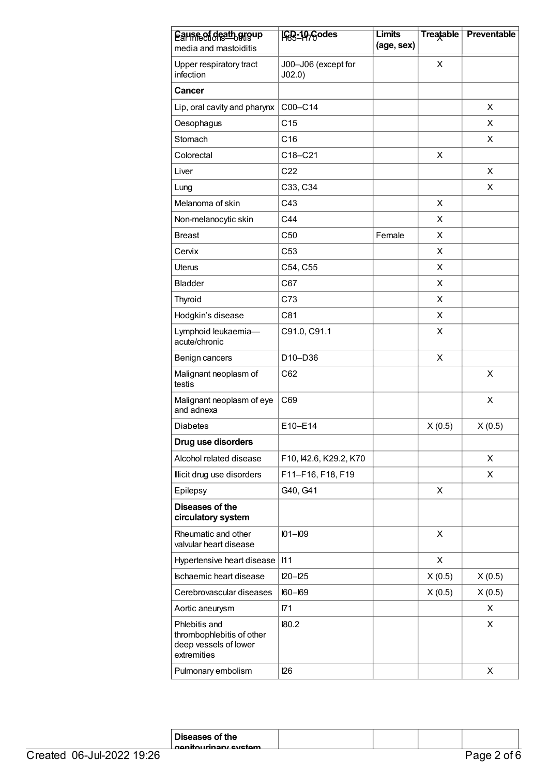| Eause of death group<br>media and mastoiditis                                      | IGB-19-Godes                  | <b>Limits</b><br>(age, sex) | <b>Treatable</b> | <b>Preventable</b> |
|------------------------------------------------------------------------------------|-------------------------------|-----------------------------|------------------|--------------------|
| Upper respiratory tract<br>infection                                               | J00-J06 (except for<br>J02.0) |                             | X                |                    |
| <b>Cancer</b>                                                                      |                               |                             |                  |                    |
| Lip, oral cavity and pharynx                                                       | C00-C14                       |                             |                  | X                  |
| Oesophagus                                                                         | C <sub>15</sub>               |                             |                  | X                  |
| Stomach                                                                            | C16                           |                             |                  | X                  |
| Colorectal                                                                         | C18-C21                       |                             | X                |                    |
| Liver                                                                              | C <sub>22</sub>               |                             |                  | X                  |
| Lung                                                                               | C33, C34                      |                             |                  | X                  |
| Melanoma of skin                                                                   | C43                           |                             | X                |                    |
| Non-melanocytic skin                                                               | C44                           |                             | X                |                    |
| <b>Breast</b>                                                                      | C50                           | Female                      | X                |                    |
| Cervix                                                                             | C <sub>53</sub>               |                             | X                |                    |
| Uterus                                                                             | C54, C55                      |                             | X                |                    |
| <b>Bladder</b>                                                                     | C67                           |                             | X                |                    |
| Thyroid                                                                            | C73                           |                             | X                |                    |
| Hodgkin's disease                                                                  | C81                           |                             | X                |                    |
| Lymphoid leukaemia-<br>acute/chronic                                               | C91.0, C91.1                  |                             | X                |                    |
| Benign cancers                                                                     | D10-D36                       |                             | X                |                    |
| Malignant neoplasm of<br>testis                                                    | C62                           |                             |                  | X                  |
| Malignant neoplasm of eye<br>and adnexa                                            | C69                           |                             |                  | X                  |
| <b>Diabetes</b>                                                                    | E10-E14                       |                             | X(0.5)           | X(0.5)             |
| Drug use disorders                                                                 |                               |                             |                  |                    |
| Alcohol related disease                                                            | F10, 142.6, K29.2, K70        |                             |                  | X                  |
| Illicit drug use disorders                                                         | F11-F16, F18, F19             |                             |                  | X                  |
| Epilepsy                                                                           | G40, G41                      |                             | X                |                    |
| Diseases of the<br>circulatory system                                              |                               |                             |                  |                    |
| Rheumatic and other<br>valvular heart disease                                      | $IO1 - IO9$                   |                             | X                |                    |
| Hypertensive heart disease                                                         | 111                           |                             | X                |                    |
| Ischaemic heart disease                                                            | $120 - 125$                   |                             | X(0.5)           | X(0.5)             |
| Cerebrovascular diseases                                                           | $160 - 169$                   |                             | X(0.5)           | X(0.5)             |
| Aortic aneurysm                                                                    | I71                           |                             |                  | X                  |
| Phlebitis and<br>thrombophlebitis of other<br>deep vessels of lower<br>extremities | 180.2                         |                             |                  | X                  |
| Pulmonary embolism                                                                 | 126                           |                             |                  | X                  |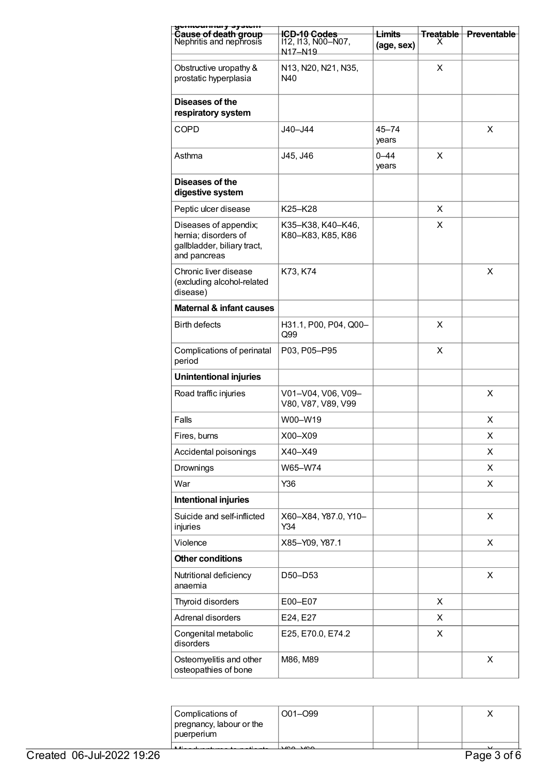| <del>gomounnury oyowm</del><br>Cause of death group                                          | <del>ICD-10 Codes</del>                  | <del>Limits</del>  | <b>Treatable</b> | <b>Preventable</b> |
|----------------------------------------------------------------------------------------------|------------------------------------------|--------------------|------------------|--------------------|
| Nephritis and nephrosis                                                                      | 112, 113, N00-N07,<br>N17-N19            | (age, sex)         | x                |                    |
| Obstructive uropathy &<br>prostatic hyperplasia                                              | N13, N20, N21, N35,<br>N40               |                    | X                |                    |
| Diseases of the<br>respiratory system                                                        |                                          |                    |                  |                    |
| <b>COPD</b>                                                                                  | J40-J44                                  | $45 - 74$<br>years |                  | X                  |
| Asthma                                                                                       | J45, J46                                 | $0 - 44$<br>years  | X                |                    |
| Diseases of the<br>digestive system                                                          |                                          |                    |                  |                    |
| Peptic ulcer disease                                                                         | K25-K28                                  |                    | X                |                    |
| Diseases of appendix;<br>hernia; disorders of<br>gallbladder, biliary tract,<br>and pancreas | K35-K38, K40-K46,<br>K80-K83, K85, K86   |                    | x                |                    |
| Chronic liver disease<br>(excluding alcohol-related<br>disease)                              | K73, K74                                 |                    |                  | X                  |
| Maternal & infant causes                                                                     |                                          |                    |                  |                    |
| <b>Birth defects</b>                                                                         | H31.1, P00, P04, Q00-<br>Q99             |                    | X                |                    |
| Complications of perinatal<br>period                                                         | P03, P05-P95                             |                    | X                |                    |
| <b>Unintentional injuries</b>                                                                |                                          |                    |                  |                    |
| Road traffic injuries                                                                        | V01-V04, V06, V09-<br>V80, V87, V89, V99 |                    |                  | X                  |
| Falls                                                                                        | W00-W19                                  |                    |                  | X                  |
| Fires, burns                                                                                 | X00-X09                                  |                    |                  | х                  |
| Accidental poisonings                                                                        | X40-X49                                  |                    |                  | X                  |
| Drownings                                                                                    | W65-W74                                  |                    |                  | X                  |
| War                                                                                          | Y36                                      |                    |                  | X                  |
| Intentional injuries                                                                         |                                          |                    |                  |                    |
| Suicide and self-inflicted<br>injuries                                                       | X60-X84, Y87.0, Y10-<br>Y34              |                    |                  | X                  |
| Violence                                                                                     | X85-Y09, Y87.1                           |                    |                  | X                  |
| <b>Other conditions</b>                                                                      |                                          |                    |                  |                    |
| Nutritional deficiency<br>anaemia                                                            | D50-D53                                  |                    |                  | X                  |
| Thyroid disorders                                                                            | E00-E07                                  |                    | X                |                    |
| Adrenal disorders                                                                            | E24, E27                                 |                    | X                |                    |
| Congenital metabolic<br>disorders                                                            | E25, E70.0, E74.2                        |                    | X                |                    |
| Osteomyelitis and other<br>osteopathies of bone                                              | M86, M89                                 |                    |                  | X                  |

| Complications of         | $001 - 099$ |  |  |
|--------------------------|-------------|--|--|
| pregnancy, labour or the |             |  |  |
| puerperium               |             |  |  |
|                          |             |  |  |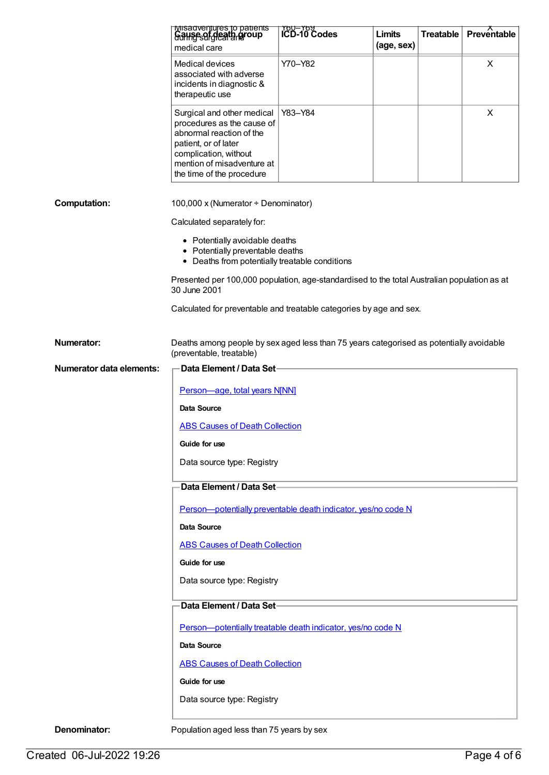|                          | iviisauveniures to patients<br>Gallise of deatgrapoup                                                                                                                                            | <b>TOU-TOU</b><br><b>ICD-10 Codes</b> | Limits     | <b>Treatable</b> | $Preve$ ntable |
|--------------------------|--------------------------------------------------------------------------------------------------------------------------------------------------------------------------------------------------|---------------------------------------|------------|------------------|----------------|
|                          | medical care                                                                                                                                                                                     |                                       | (age, sex) |                  |                |
|                          | <b>Medical devices</b><br>associated with adverse<br>incidents in diagnostic &<br>therapeutic use                                                                                                | Y70-Y82                               |            |                  | X              |
|                          | Surgical and other medical<br>procedures as the cause of<br>abnormal reaction of the<br>patient, or of later<br>complication, without<br>mention of misadventure at<br>the time of the procedure | Y83-Y84                               |            |                  | X              |
| <b>Computation:</b>      | 100,000 x (Numerator + Denominator)                                                                                                                                                              |                                       |            |                  |                |
|                          | Calculated separately for:                                                                                                                                                                       |                                       |            |                  |                |
|                          | • Potentially avoidable deaths<br>• Potentially preventable deaths<br>• Deaths from potentially treatable conditions                                                                             |                                       |            |                  |                |
|                          | Presented per 100,000 population, age-standardised to the total Australian population as at<br>30 June 2001                                                                                      |                                       |            |                  |                |
|                          | Calculated for preventable and treatable categories by age and sex.                                                                                                                              |                                       |            |                  |                |
| <b>Numerator:</b>        | Deaths among people by sex aged less than 75 years categorised as potentially avoidable<br>(preventable, treatable)                                                                              |                                       |            |                  |                |
| Numerator data elements: | Data Element / Data Set                                                                                                                                                                          |                                       |            |                  |                |
|                          | Person-age, total years N[NN]                                                                                                                                                                    |                                       |            |                  |                |
|                          | Data Source                                                                                                                                                                                      |                                       |            |                  |                |
|                          | <b>ABS Causes of Death Collection</b>                                                                                                                                                            |                                       |            |                  |                |
|                          | Guide for use                                                                                                                                                                                    |                                       |            |                  |                |
|                          | Data source type: Registry                                                                                                                                                                       |                                       |            |                  |                |
|                          | Data Element / Data Set-                                                                                                                                                                         |                                       |            |                  |                |
|                          | Person-potentially preventable death indicator, yes/no code N                                                                                                                                    |                                       |            |                  |                |
|                          | <b>Data Source</b>                                                                                                                                                                               |                                       |            |                  |                |
|                          | <b>ABS Causes of Death Collection</b>                                                                                                                                                            |                                       |            |                  |                |
|                          | Guide for use                                                                                                                                                                                    |                                       |            |                  |                |
|                          | Data source type: Registry                                                                                                                                                                       |                                       |            |                  |                |
|                          | Data Element / Data Set-                                                                                                                                                                         |                                       |            |                  |                |
|                          | Person-potentially treatable death indicator, yes/no code N                                                                                                                                      |                                       |            |                  |                |
|                          | <b>Data Source</b>                                                                                                                                                                               |                                       |            |                  |                |
|                          | <b>ABS Causes of Death Collection</b><br>Guide for use                                                                                                                                           |                                       |            |                  |                |
|                          | Data source type: Registry                                                                                                                                                                       |                                       |            |                  |                |
|                          |                                                                                                                                                                                                  |                                       |            |                  |                |
| Denominator:             | Population aged less than 75 years by sex                                                                                                                                                        |                                       |            |                  |                |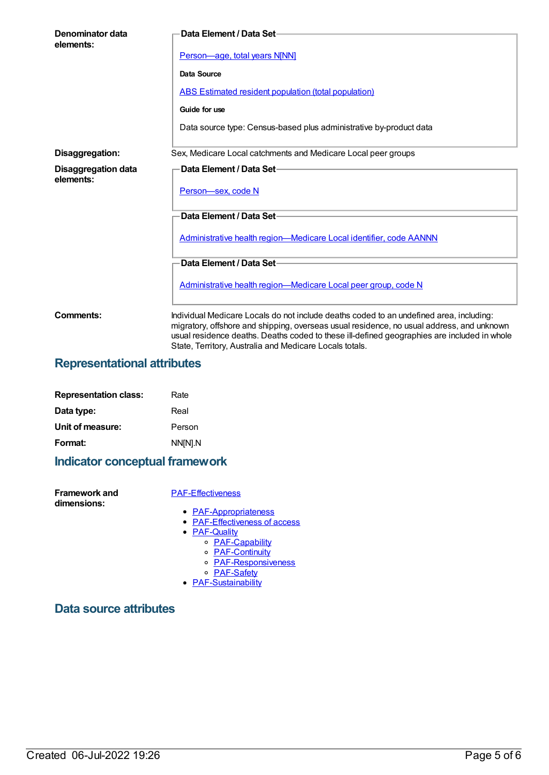| Denominator data<br>elements:           | <b>Data Element / Data Set-</b>                                                                                                                                                                                                                                                                                                                |
|-----------------------------------------|------------------------------------------------------------------------------------------------------------------------------------------------------------------------------------------------------------------------------------------------------------------------------------------------------------------------------------------------|
|                                         | Person-age, total years N[NN]                                                                                                                                                                                                                                                                                                                  |
|                                         | Data Source                                                                                                                                                                                                                                                                                                                                    |
|                                         | <b>ABS Estimated resident population (total population)</b>                                                                                                                                                                                                                                                                                    |
|                                         | Guide for use                                                                                                                                                                                                                                                                                                                                  |
|                                         | Data source type: Census-based plus administrative by-product data                                                                                                                                                                                                                                                                             |
| Disaggregation:                         | Sex, Medicare Local catchments and Medicare Local peer groups                                                                                                                                                                                                                                                                                  |
| <b>Disaggregation data</b><br>elements: | Data Element / Data Set-<br>Person-sex, code N                                                                                                                                                                                                                                                                                                 |
|                                         | Data Element / Data Set-                                                                                                                                                                                                                                                                                                                       |
|                                         | Administrative health region-Medicare Local identifier, code AANNN                                                                                                                                                                                                                                                                             |
|                                         | Data Element / Data Set-                                                                                                                                                                                                                                                                                                                       |
|                                         | Administrative health region—Medicare Local peer group, code N                                                                                                                                                                                                                                                                                 |
| Comments:                               | Individual Medicare Locals do not include deaths coded to an undefined area, including:<br>migratory, offshore and shipping, overseas usual residence, no usual address, and unknown<br>usual residence deaths. Deaths coded to these ill-defined geographies are included in whole<br>State, Territory, Australia and Medicare Locals totals. |

### **Representational attributes**

| <b>Representation class:</b> | Rate    |
|------------------------------|---------|
| Data type:                   | Real    |
| Unit of measure:             | Person  |
| Format:                      | NN[N].N |

### **Indicator conceptual framework**

**Framework and dimensions:**

#### [PAF-Effectiveness](https://meteor.aihw.gov.au/content/554925)

- [PAF-Appropriateness](https://meteor.aihw.gov.au/content/554929)
- [PAF-Effectiveness](https://meteor.aihw.gov.au/content/554928) of access
- [PAF-Quality](https://meteor.aihw.gov.au/content/554930)
	- <u>n Geemer</u><br>○ <u>[PAF-Capability](https://meteor.aihw.gov.au/content/554934)</u>
	- <u>[PAF-Continuity](https://meteor.aihw.gov.au/content/554935)</u>
	- [PAF-Responsiveness](https://meteor.aihw.gov.au/content/554933)
	- [PAF-Safety](https://meteor.aihw.gov.au/content/554932)
- **[PAF-Sustainability](https://meteor.aihw.gov.au/content/554931)**

#### **Data source attributes**